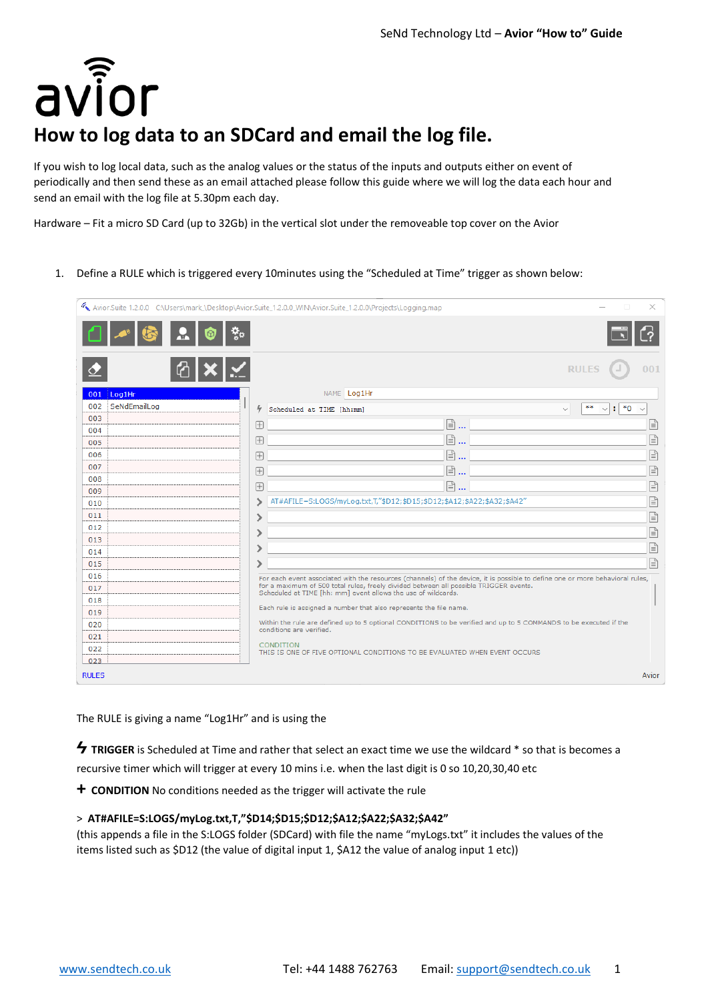avior

# **How to log data to an SDCard and email the log file.**

If you wish to log local data, such as the analog values or the status of the inputs and outputs either on event of periodically and then send these as an email attached please follow this guide where we will log the data each hour and send an email with the log file at 5.30pm each day.

Hardware – Fit a micro SD Card (up to 32Gb) in the vertical slot under the removeable top cover on the Avior

1. Define a RULE which is triggered every 10minutes using the "Scheduled at Time" trigger as shown below:

| Avior.Suite 1.2.0.0 C:\Users\mark_\Desktop\Avior.Suite_1.2.0.0_WIN\Avior.Suite_1.2.0.0\Projects\Logging.map<br>× |                       |  |            |                                                                                                                                                        |                                                             |     |  |  |  |
|------------------------------------------------------------------------------------------------------------------|-----------------------|--|------------|--------------------------------------------------------------------------------------------------------------------------------------------------------|-------------------------------------------------------------|-----|--|--|--|
|                                                                                                                  |                       |  |            |                                                                                                                                                        |                                                             |     |  |  |  |
|                                                                                                                  |                       |  |            |                                                                                                                                                        | <b>RULES</b>                                                | 001 |  |  |  |
| 001                                                                                                              | Log1Hr                |  |            | NAME Log1Hr                                                                                                                                            |                                                             |     |  |  |  |
| 002                                                                                                              | SeNdEmailLog          |  | 4          | Scheduled at TIME [hh:mm]                                                                                                                              | **<br>$^*0$<br>÷.<br>$\sim$<br>$\checkmark$<br>$\checkmark$ |     |  |  |  |
| 003                                                                                                              |                       |  | $\boxplus$ | $\mathbb{B}$                                                                                                                                           |                                                             | l≡ì |  |  |  |
| 004                                                                                                              |                       |  |            | na                                                                                                                                                     |                                                             | Ռ   |  |  |  |
| 005                                                                                                              |                       |  | 田          |                                                                                                                                                        |                                                             |     |  |  |  |
| 006                                                                                                              |                       |  | $\boxplus$ | ,                                                                                                                                                      |                                                             | ß   |  |  |  |
| 007                                                                                                              |                       |  | 田          | [≣∖…                                                                                                                                                   |                                                             | f   |  |  |  |
| 008<br>009                                                                                                       |                       |  | 田          | [≣∖…                                                                                                                                                   |                                                             | Ռ   |  |  |  |
| 010                                                                                                              |                       |  | ↘          | AT#AFILE=S:LOGS/myLog.txt,T,"\$D12;\$D15;\$D12;\$A12;\$A22;\$A32;\$A42"                                                                                |                                                             | f   |  |  |  |
| 011                                                                                                              |                       |  |            |                                                                                                                                                        |                                                             | f   |  |  |  |
| 012                                                                                                              |                       |  |            |                                                                                                                                                        |                                                             |     |  |  |  |
| 013                                                                                                              |                       |  |            |                                                                                                                                                        |                                                             | ß   |  |  |  |
| 014                                                                                                              |                       |  |            |                                                                                                                                                        |                                                             | Ռ   |  |  |  |
| 015                                                                                                              |                       |  |            |                                                                                                                                                        |                                                             | 目   |  |  |  |
| 016                                                                                                              |                       |  |            | For each event associated with the resources (channels) of the device, it is possible to define one or more behavioral rules,                          |                                                             |     |  |  |  |
| 017                                                                                                              |                       |  |            | for a maximum of 500 total rules, freely divided between all possible TRIGGER events.<br>Scheduled at TIME [hh: mm] event allows the use of wildcards. |                                                             |     |  |  |  |
| 018                                                                                                              |                       |  |            | Each rule is assigned a number that also represents the file name.                                                                                     |                                                             |     |  |  |  |
| 019                                                                                                              |                       |  |            |                                                                                                                                                        |                                                             |     |  |  |  |
| 020                                                                                                              |                       |  |            | Within the rule are defined up to 5 optional CONDITIONS to be verified and up to 5 COMMANDS to be executed if the<br>conditions are verified.          |                                                             |     |  |  |  |
| 021                                                                                                              |                       |  |            | <b>CONDITION</b>                                                                                                                                       |                                                             |     |  |  |  |
| 022                                                                                                              |                       |  |            | THIS IS ONE OF FIVE OPTIONAL CONDITIONS TO BE EVALUATED WHEN EVENT OCCURS                                                                              |                                                             |     |  |  |  |
| 023                                                                                                              |                       |  |            |                                                                                                                                                        |                                                             |     |  |  |  |
|                                                                                                                  | <b>RULES</b><br>Avior |  |            |                                                                                                                                                        |                                                             |     |  |  |  |

The RULE is giving a name "Log1Hr" and is using the

**Ϟ TRIGGER** is Scheduled at Time and rather that select an exact time we use the wildcard \* so that is becomes a recursive timer which will trigger at every 10 mins i.e. when the last digit is 0 so 10,20,30,40 etc

**+ CONDITION** No conditions needed as the trigger will activate the rule

## > **AT#AFILE=S:LOGS/myLog.txt,T,"\$D14;\$D15;\$D12;\$A12;\$A22;\$A32;\$A42"**

(this appends a file in the S:LOGS folder (SDCard) with file the name "myLogs.txt" it includes the values of the items listed such as \$D12 (the value of digital input 1, \$A12 the value of analog input 1 etc))